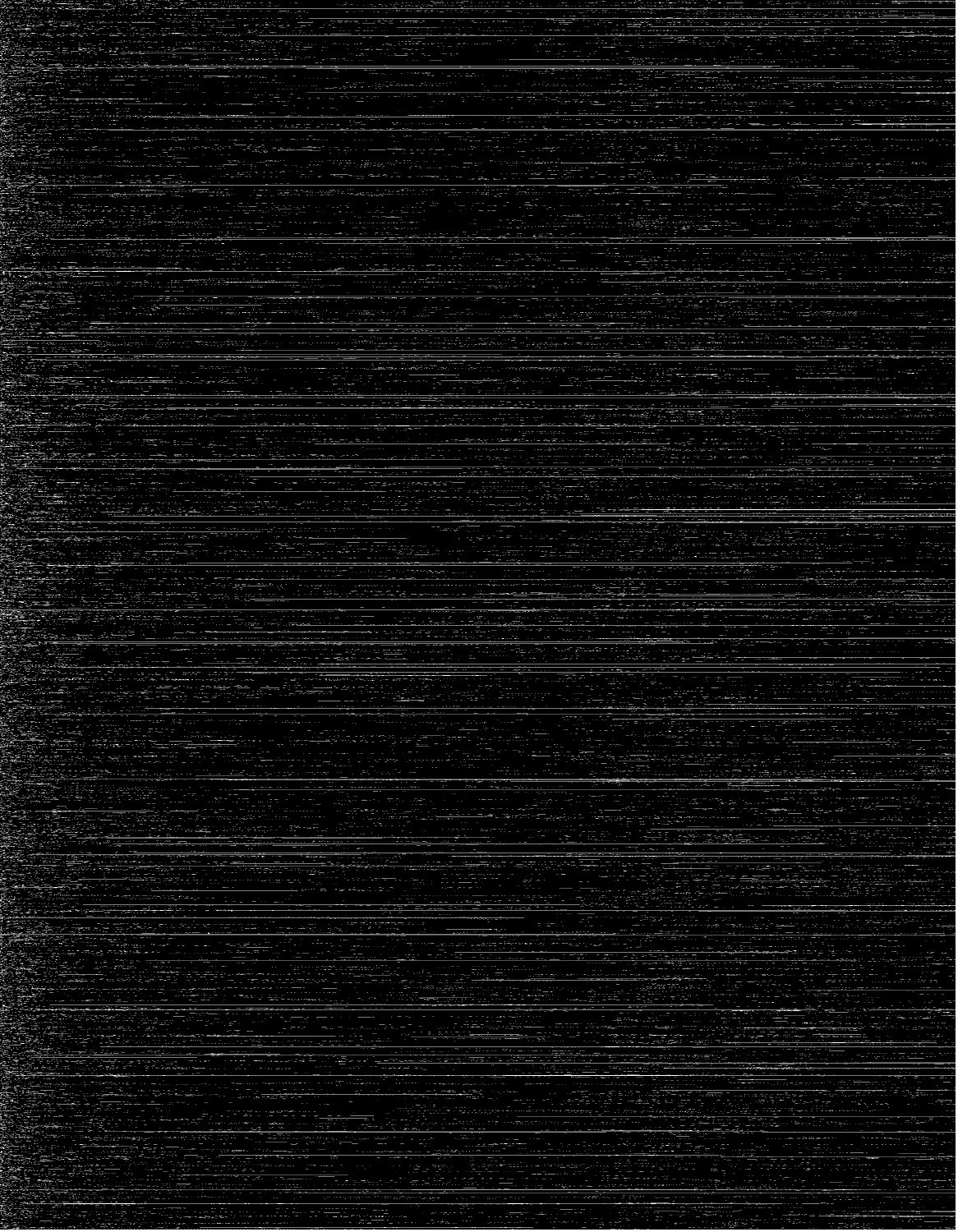# Interface Support for Data Archaeology

Loren G. Terveen AT&T Bell Laboratories 600 Mountain Avenue, 2C-401 Murray Hill, NJ 07974-0636 USA terveen@research.att.com

# Abstract

I describe the IMACS interface, which supports a type of interactive data exploration task called data archaeology. The interface facilitates users in performing this task using three key design principles: (1) combine power and ease of use,  $(2)$  provide direct support for integrated, iterative data exploration, and (3) assist users in managing their work over time. I show how these principles are relevant in the data archaeology task, describe how knowledge representation technologyprovides a foundation for an adequate support system, and illustrate in detail how the interface offers powerful support for data archaeology.

Keywords: knowledge discovery, interactive data exploration, marketing, knowledge representation, reuse

# 1 Introduction

Databases have become ubiquitous throughout business, government, science, and other types of enterprise, leading organizations to view databases aa sources of new and useful implicit knowledge. For example, a database of customers and purchases, originally used for billing and inventory management, may now be seen as a resource for predicting customer behavior and defining customer sub-groups, leading to more targeted, effective, and easily evaluated marketing campaigns. In a previous paper [7], we identified an approach to knowledge discovery in databases that we call data archaeology. The term emphasizes that this is a skilled process in which answers do not emerge in one pass, as fullblown nuggets, but rather evolve in an iterative, dialectic process that requires constant human intervention. This process resembles the highly skilled work of an archaeologist. This paper describes a system called IMACS (Interactive Marketing Analysis and Classification System) [7] that addresses these problems, focusing on the user interface.

While IMACS is a multi-faceted system - it uses knowledge representation technology to provide an expressive representation of data and to integrate data from multiple databases, employs novel techniques for translating from databases to a knowledge base, and features a custom query

Permission to copy without fee all or part of this material is granted provided that the copies are not made or distributed for direct commercial advantage, the ACM copyright notice and the title of the publication and its date appear, and notice is given that oopying is by permission of the Association for Computing Mechinery. To copy otherwise, or to republish, requires e fee and/or specific perrnisaion.

CIKM '93 - 11/93/D.C., USA

e 1993 ACM 0-89791-626-3/83/0011 ....\$1.50 language – these aspects of the system are discussed only as necessary to support the explanation of the interface. The IMACS interface supports the data archaeology task using three key design principles:

- $\bullet\,$  Combine power and ease of use general purpose systems such as the UNIX operating system or the Common Lisp language provide their users a great deal of power; however, the price of this power is that they are difficult to learn and to use optimally. Direct manip ulation graphical interfaces are easy to use, but often limited in their functionality. IMACS offers the power of a general purpose knowledge representation system and query language and the ease of use of a graphical, form-based interface,
- $\bullet$  Directly support the iterative, integrated data explo ration that characterizes data archaeology. One hallmark of the task is that the usefulness of a category that is formed in the analysis process only can be determined through further analysis. Thus, such "working categories" are treated as "first class" objects to which all the analysis operations of the interface can be applied. Further, IMACS provides integrated support for hypothesis formation and testing. IMACS makes it very easy for analysts to view data to form tentative hypotheses about the data, segment the data into categories that embody the hypotheses, then view the categories to test the hypotheses.
- Support users in managing their work over time the importance of reuse has been widely recognized  $[2, 3]$ ; in IMACS, analysts create reusable resources as a natural part of doing their analyses, and these resources subsequently can be exploited both by their creators and other analysts.

The remainder of the paper is organized as follows. I first discuss the task of data archaeology and show how current technology does not support it adequately. I next describe the role of knowledge representation technology in IMACS. The core of the paper comes next: I describe the task structure of the interface, show how the design principles enable adequate support for data archaeology, and illustrate these points with analysis scenarios. I conclude by discussing the status of the system, including how it is being used within AT&T, and areas for future work.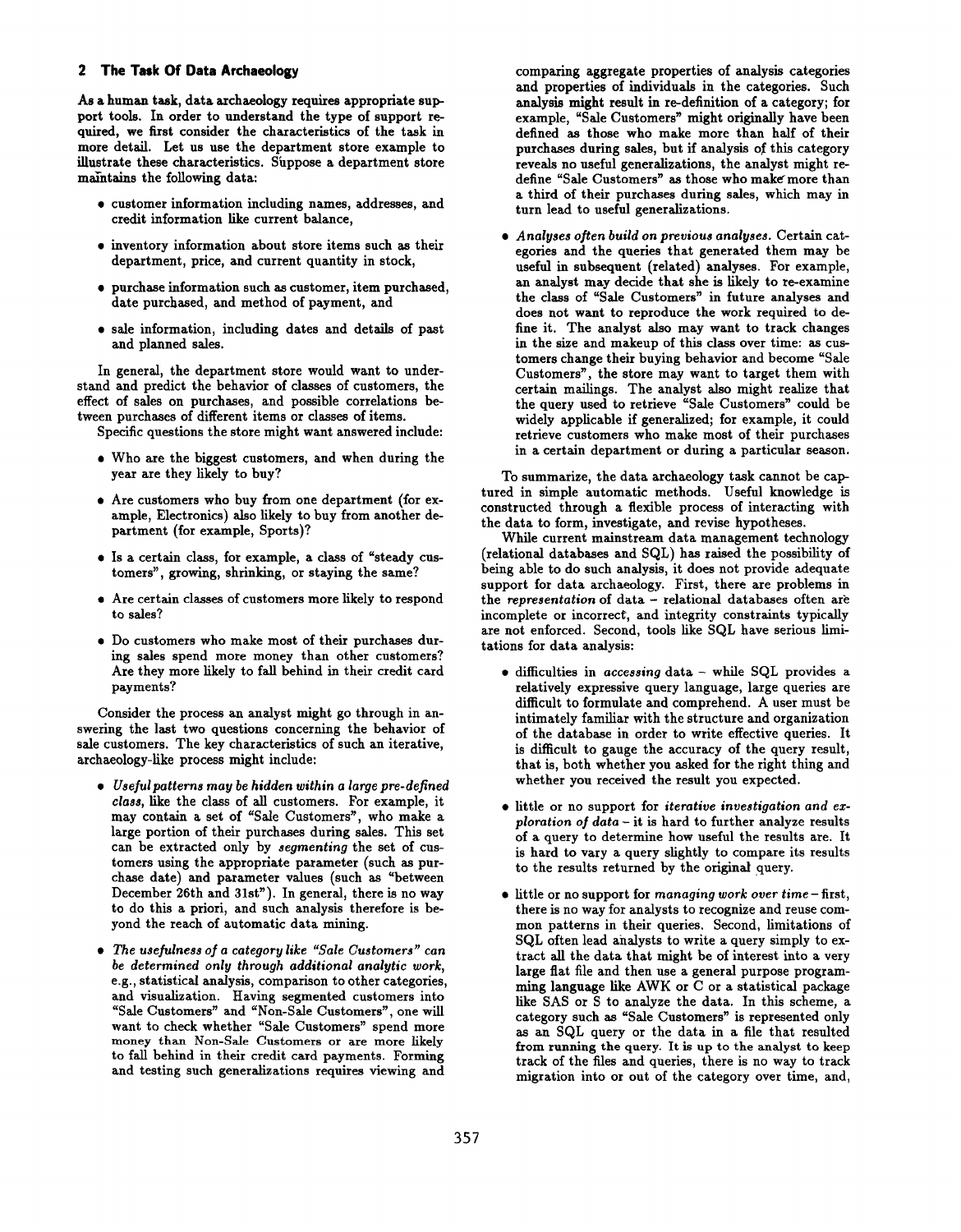# 2 The Task Of Data Archaeology

As a human task, data archaeology requires appropriate sup port toola. In order to understand the type of support required, we first consider the characteristics of the task in more detaiL Let us use the department store example to illustrate these characteristics. Suppose a department store maintains the following data:

- customer information including names, addresses, and credit information like current balance,
- inventory information about store items such as their department, price, and current quantity in stock,
- purchase information such as customer, item purchased, date purchased, and method of payment, and
- sale information, includhg dates and details of past and planned sales.

In general, the department store would want to understand and predict the behavior of classes of customers, the effect of sales on purchases, and possible correlations between purchases of different items or classes of items.

Specific questions the store might want answered include:

- Who are the biggest customers, and when during the year are they likely to buy?
- Are customers who buy from one department (for example, Electronics) also likely to buy from another department (for example, Sports)?
- Is a certain class, for example, a class of "steady CU5 tomers", growing, shrinking, or staying the same?
- $\bullet\,$  Are certain classes of customers more likely to respon to sales?
- $\bullet$  Do customers who make most of their purchases dui ing sales spend more money than other customers? Are they more likely to fall behind in their credit card payments?

Consider the process an analyst might go through in answering the last two questions concerning the behavior of sale customers. The key characteristics of such an iterative, archaeology-like process might include:

- Usefulpatterns may be hidden within a large pre-dejined class, like the class of all customers. For example, it may contain a set of 'Sale Customers", who make a large portion of their purchazes during sales. This set can be extracted only by segmenting the set of customers using the appropriate parameter (such as purchase date) and parameter values (such as "between December 26th and 31st"). In general, there is no way to do this a priori, and such analysis therefore is beyond the reach of automatic data mining.
- The usefulness of a category like "Sale Customers" can be determined only through additional analytic work, e.g., statistical analysis, comparison to other categories, and visualization. Having segmented customers into "Side Customers" and "Non-Sale Customers" , one will want to check whether "Sale Customers" spend mor money than Non-Sale Customers or are more likel to fall behhd in their credit card payments. Forming and testing such generalizations requires viewing and

comparing aggregate properties of analysis categories and properties of individuals in the categories. Such analysis might result in re-definition of a category; for example, "Sale Customers" might originally have been defined aa those who make more than half of their purchases during sales, but if analysis of this category reveals no useful generalizations, the analyst might redefine "Sale Customers" as those who make more than a third of their purchases during sales, which may in turn lead to useful generalizations.

● Analyses often build on previous analyses. Certain categories and the queries that generated them may be useful in subsequent (related) analyses. For example, an analyst may decide that she is likely to re-examine the class of "Sale Customers" in future analyses and does not want to reproduce the work required to define it. The analyst also may want to track changes in the size and makeup of this class over time: as customers change their buying behavior and become "Sale Customers", the store may want to target them with certain mailings. The analyst also might realize that the query used to retrieve "Sale Customers" could be widely applicable if generalized; for example, it could retrieve customers who make most of their purchases in a certain department or during a particular season.

To summarize, the data archaeology task cannot be cap tured in simple automatic methods. Useful knowledge is constructed through a flexible process of interacting with the data to form, investigate, and revise hypotheses.

While current mainstream data management technology (relational databases and SQL) has raised the possibility of being able to do such analysis, it does not provide adequate support for data archaeology. First, there are problems in the representation of data - relational databases often are incomplete or incorrect, and integrity constraints typically are not enforced. Second, tools like SQL have serious limitations for data analysis:

- difficulties in accessing data while SQL provides a relatively expressive query language, large queries are difficult to formulate and comprehend. A user must be intimately familiar with the structure and organization of the database in order to write effective queries. It is difficult to gauge the accuracy of the query result, that is, both whether you asked for the right thing and whether you received the result you expected.
- $\bullet$  little or no support for iterative investigation and exploration of  $data - it$  is hard to further analyze results of a query to determine how useful the results are. It is hard to vary a query slightly to compare its results to the results returned by the original query.
- $\bullet\,$  little or no support for managing work over time  $\text{n}$ rs there is no way for analysts to recognize and reuse common patterns in their queries. Second, limitations of SQL often lead analysts to write a query simply to extract all the data that might be of interest into a very large flat file and then use a general purpose programming language like AWK or C or a statistical package like SAS or S to analyze the data. In this scheme, a category such az "Sale Customers" is represented only as an SQL query or the data in a file that resulted from running the query. It is up to the analyst to keep track of the files and queries, there is no way to track migration into or out of the category over time, and,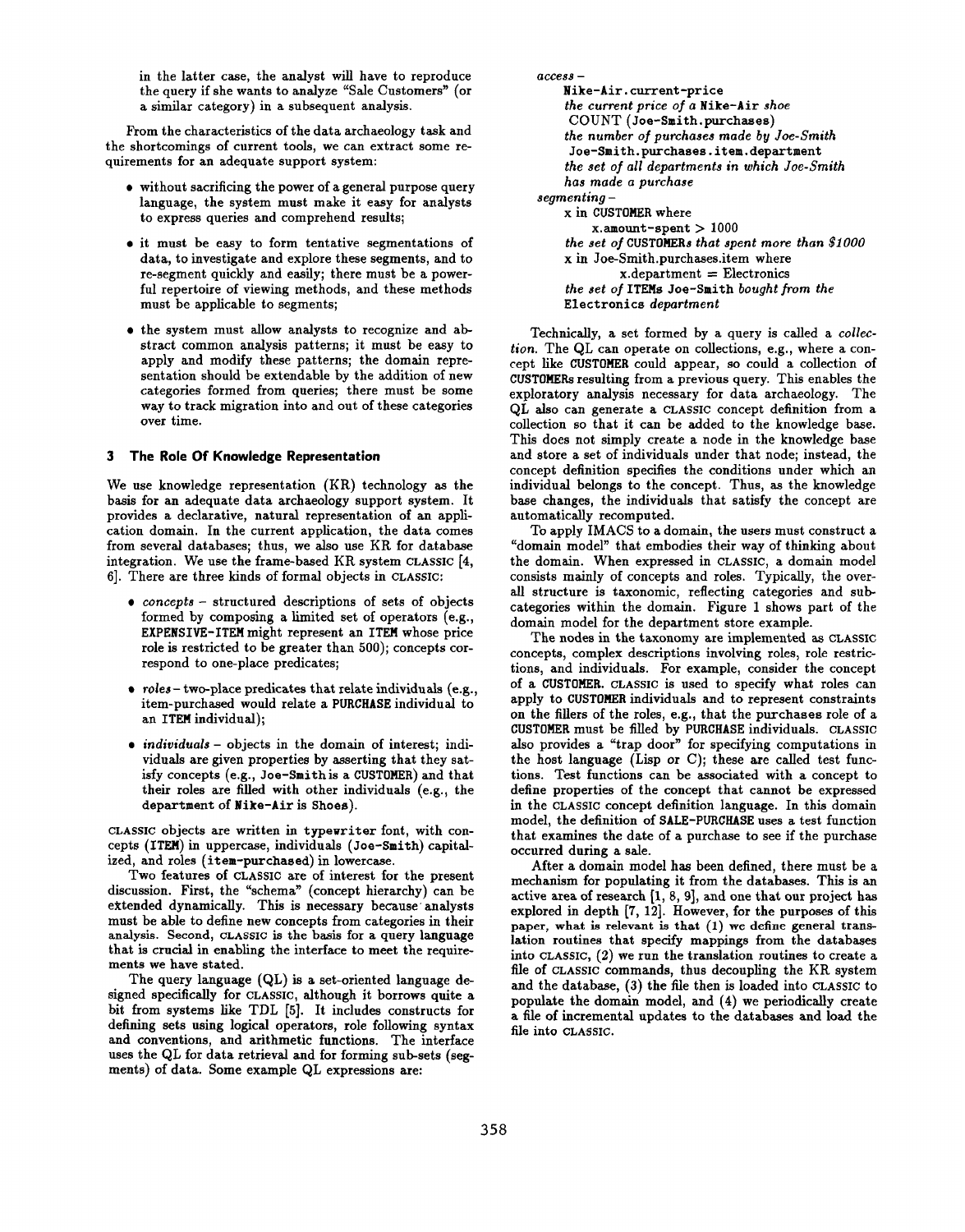in the latter case, the analyst will have to reproduce the query if she wants to analyze 'Sale Customers" (or a similar category) in a subsequent analysis.

From the characteristics of the data archaeology task and the shortcomings of current tools, we can extract some requirements for an adequate support system:

- $\bullet\,$  without sacrificing the power of a general purpose quer language, the system must make it easy for analysts to express queries and comprehend results;
- $\bullet$  it must be easy to form tentative segmentations of data, to investigate and explore these segments, and to re-segment quickly and easily; there must be a powerful repertoire of viewing methods, and these methods must be applicable to segments;
- the system must allow analysts to recognize and abstract common analysis patterns; it must be easy to apply and modify these patterns; the domain representation should be extendable by the addition of new categories formed from queries; there must be some way to track migration into and out of these categories over time.

# 3 The Role Of Knowledge Representation

We use knowledge representation (KR) technology as the basis for an adequate data archaeology support system. It provides a declarative, natural representation of an application domain. In the current application, the data comes from several databases; thus, we also use KR for database integration. We use the frame-based KR system CLASSIC [4, 6]. There are three kinds of formal objects in CLASSIC:

- concepts structured descriptions of sets of objects formed by composing a limited set of operators (e.g., EXPENSIVE-ITEM might represent an ITEM whose price role is restricted to be greater than 500); concepts correspond to one-place predicates;
- roles two-place predicates that relate individuals (e.g., item-purchased would relate a PURCHASE individual to an ITEM individual);
- individuals objects in the domain of interest; individuals are given properties by asserting that they satisfy concepts (e.g., Joe-Smith is a CUSTOMER) and that their roles are filled with other individuals (e.g., the department of Nike-Air is Shoes).

CLASSIC objects are written in typewriter font, with concepts (ITEM) in uppercase, individuals (Joe-Smith) capitalized, and roles (it em-purchased) in lowercase.

Two features of CLASSIC are of interest for the present discussion. First, the "schema" (concept hierarchy) can be ektended dynamically. This is necessary because analysts must be able to define new concepts from categories in their analysis. Second, CLASSIC is the basis for a query language that is crucial in enabling the interface to meet the requirements we have stated.

The query language (QL) is a set-oriented language designed specifically for CLASSIC, although it borrows quite a bit from systems like TDL [5]. It includes constructs for defining sets using logical operators, role following syntax and conventions, and arithmetic functions. The interface uses the QL for data retrieval and for forming sub-sets (segments) of data. Some example QL expressions are:

```
acces9 –
    Nike-Air. current-price
    the current price of a Nike-Air shoe
    COUNT (Joe-Smith. purchases)
    the number of purchases made by Joe-Smith
    Joe-Smith .purchases. item. department
    the set of all departments in which Joe-Smith
    has made a purchase
segmenting –
   x in CUSTOMER where
        X.amount-spent > 1000
    the set of CUSTOMERs that spent more than $1000x in Joe-Smith .purchaaes.it em where
            x.department = Electronicsthe set of ITEMs Joe-Smith bought from the
    Electronics department
```
Technically, a set formed by a query is called a collection. The QL can operate on collections, e.g., where a concept like CUSTOMER could appear, so could a collection of CUSTOMSRsresulting from a previous query. This enables the exploratory analysis necessary for data archaeology. The QL also can generate a CLASSIC concept definition from a collection so that it can be added to the knowledge base. This does not simply create a node in the knowledge base and store a set of individuals under that node; instead, the concept definition specifies the conditions under which an individual belongs to the concept. Thus, as the knowledge base changes, the individuals that satisfy the concept are automatically recomputed.

To apply IMACS to a domain, the users must construct a "domain model" that embodies their way of thinking about the domain. When expressed in CLASSIC, a domain model consists mainly of concepts and roles. Typically, the overall structure is taxonomic, reflecting categories and subcategories within the domain. Figure 1 shows part of the domain model for the department store example.

The nodes in the taxonomy are implemented as CLASSIC concepts, complex descriptions involving roles, role restrictions, and individuals. For example, consider the concept of a CUSTOMER. CLASSIC is used to specify what roles can apply to CUSTOMER individuals and to represent constraints on the fillers of the roles, e.g., that the purchases role of a CUSTOMER must be filled by PURCHASE individuals. CLASSIC also provides a "trap door" for specifying computations in the host language (Lisp or C); these are called test functions. Test functions can be associated with a concept to define properties of the concept that cannot be expressed in the CLASSIC concept definition language. In this domain model, the definition of SALE-PURCHASE uses a test function that examines the date of a purchase to see if the purchase occurred during a sale.

After a domain model has been defined, there must be a mechanism for populating it from the databases. This is an active area of research [1, 8, 9], and one that our project has explored in depth [7, 12]. However, for the purposes of this paper, what is relevant is that (1) we define general translation routines that specify mappings from the databases into CLASSIC, (2) we run the translation routines to create a file of CLASSIC commands, thus decoupling the KR system and the database, (3) the file then is loaded into CLASSIC to populate the domain model, and (4) we periodically create a tile of incremental updates to the databases and load the file into CLASSIC.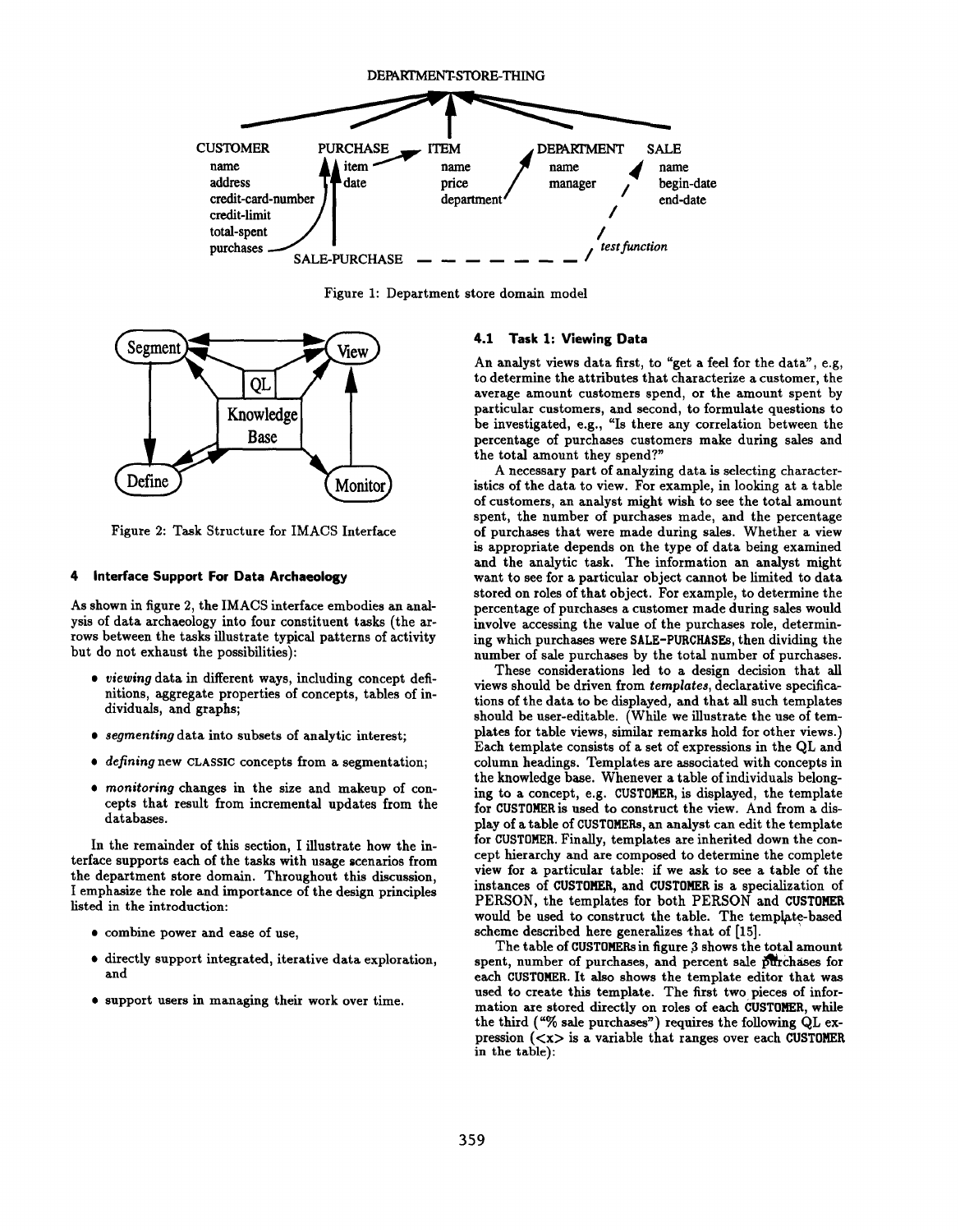

Figure 1: Department store domain model



Figure 2: Task Structure for IMACS Interface

# 4 Interface Support For Data Archaeology

As shown in figure 2, the IMACS interface embodies an analysis of data archaeology into four constituent tasks (the arrows between the tasks illustrate typical patterns of activity but do not exhaust the possibilities):

- $\bullet$  viewing data in different ways, including concept definitions, aggregate properties of concepts, tables of individuals, and graphs;
- segmenting data into subsets of analytic interest;
- defining new CLASSIC concepts from a segmentation;
- monitoring changes in the size and makeup of concepts that result from incremental updates from the databases.

In the remainder of this section, I illustrate how the interface snpports each of the tasks with usage scenarios from the department store domain. Throughout this discussion, I emphasize the role and importance of the design principles listed in the introduction:

- combine power and ease of use,
- directly support integrated, iterative data exploration, and
- support users in managing their work over time.

#### 4.1 Task 1: Viewing Data

An analyst views data first, to "get a feel for the data", e.g, to determine the attributes that characterize a customer, the average amount customers spend, or the amount spent by particular customers, and second, to formulate questions to be investigated, e.g., "Is there any correlation between the percentage of purchases customers make during sales and the total amount they spend?"

A necessary part of analyzing data is selecting characteristics of the data to view. For example, in looking at a table of customers, an analyst might wish to see the total amount spent, the number of purchases made, and the percentage of purchases that were made during sales. Whether a view is appropriate depends on the type of data being examined and the analytic task. The information an analyst might want to see for a particular object cannot be limited to data stored on roles of that object. For example, to determine the percentage of purchases a customer made during sales would involve accessing the value of the purchases role, determining which purchases were SALE-PURCHASEs, then dividing the number of sale purchases by the total number of purchases.

These considerations led to a design decision that all views should be driven from templates, declarative specifications of the data to be dieplayed, and that all such templates should be user-editable. (While we illustrate the use of templates for table views, similar remarks hold for other views.) Each template consists of a set of expressions in the QL and column headings. Templates are associated with concepts in the knowledge base. Whenever a table of individuals belonging to a concept, e.g. CUSTOMER, is displayed, the template for CUSTOMERis used to construct the view. And from a display of a table of CUSTOMERs, an analyst can edit the template for CUSTOMER. Finally, templates are inherited down the concept hierarchy and are composed to determine the complete view for a particular table: if we ask to see a table of the instances of CUSTOMER, and CUSTOMER is a specialization of PERSON, the templates for both PERSON and CUSTOMER would be used to construct the table. The template-based scheme described here generalizes that of [15].

The table of CUSTOMERs in figure 3 shows the total amount spent, number of purchases, and percent sale purchases for each CUSTOMER. It also shows the template editor that was used to create this template. The first two pieces of information are stored directly on roles of each CUSTOMER, while the third ("% sale purchases") requires the following  $QL$  expression  $\langle x \rangle$  is a variable that ranges over each CUSTOMER in the table):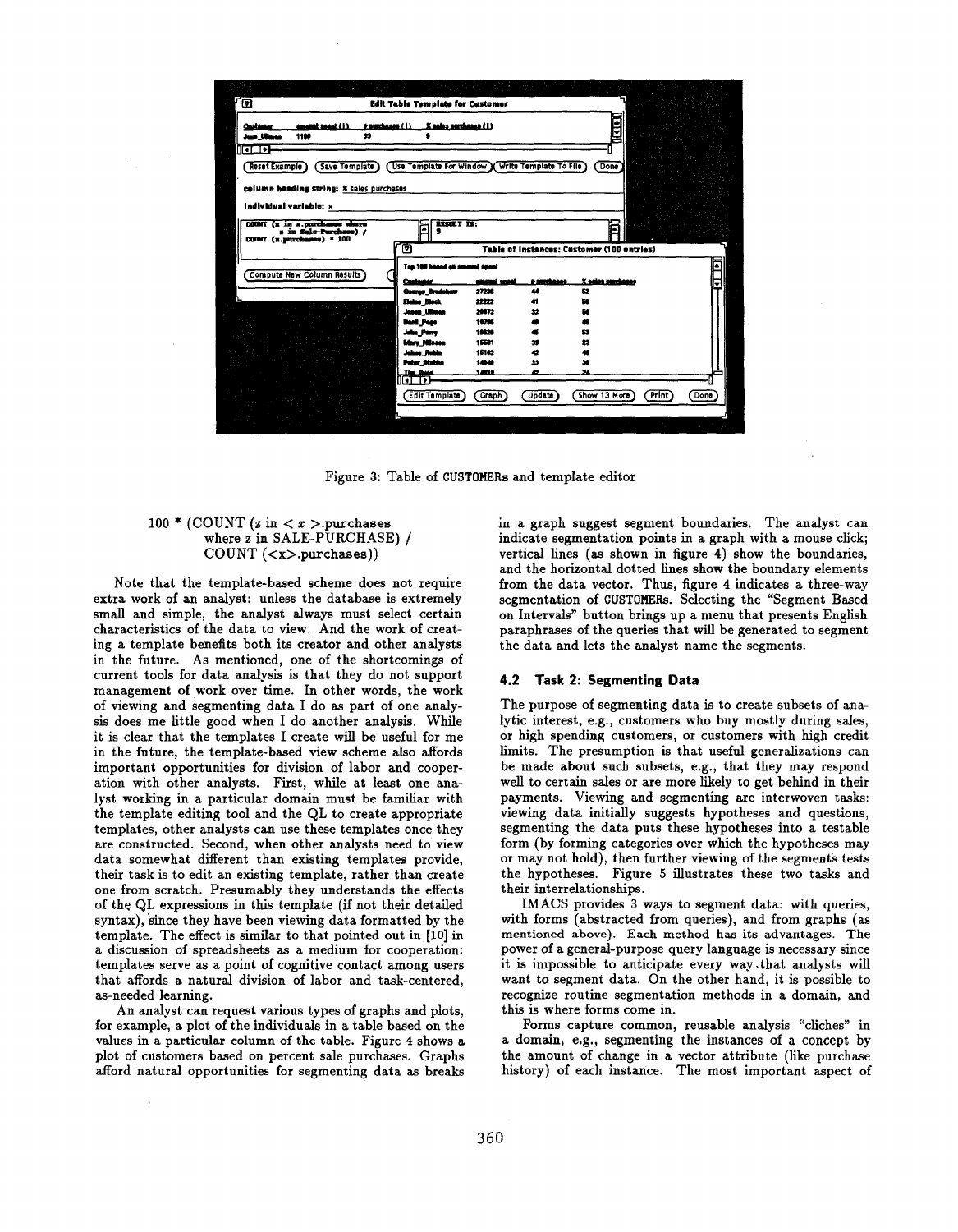| o<br><b>Edit Table Template for Customer</b>                                                   |                                                     |                |             |                                            |              |      |  |  |  |
|------------------------------------------------------------------------------------------------|-----------------------------------------------------|----------------|-------------|--------------------------------------------|--------------|------|--|--|--|
| amount sount (1) # numberes (1) X soles numberes (1)<br>Castanar<br>1186<br>13<br>June Lilimon |                                                     |                |             |                                            |              |      |  |  |  |
| ागम                                                                                            |                                                     |                |             |                                            |              |      |  |  |  |
| Save Template<br>Reset Example                                                                 | Use Template For Window ) Write Template To File    |                |             | <b>Done</b>                                |              |      |  |  |  |
| column heading string: X sales purchases                                                       |                                                     |                |             |                                            |              |      |  |  |  |
| Individual variable: x                                                                         |                                                     |                |             |                                            |              |      |  |  |  |
| COUNT (x in x.purchases where<br>s in Sale-Purchase) /<br>COUNT (x.purchases) * 100            | <b>REGULT 18:</b><br>∙                              |                |             | F                                          |              |      |  |  |  |
|                                                                                                | Θ                                                   |                |             | Table of Instances: Customer (100 entries) |              |      |  |  |  |
| Compute New Column Results                                                                     | Top 100 based on necessit spent<br><b>Castuster</b> | amount ment.   | r surchesse | X sales surchases                          |              |      |  |  |  |
|                                                                                                | George Brudebow                                     | 27236          | 44          | 52                                         |              |      |  |  |  |
|                                                                                                | <b>Elaine Block</b>                                 | 22222          | m           | m                                          |              |      |  |  |  |
|                                                                                                | Jason Ulman                                         | 20872<br>19786 | 32          | ĸ                                          |              |      |  |  |  |
|                                                                                                | <b>Bank Page</b><br>John Porry                      | 19820          |             | 53                                         |              |      |  |  |  |
|                                                                                                | Mary Miloson                                        | 15531          | ×           | 23                                         |              |      |  |  |  |
|                                                                                                | Johns Frida                                         | 15162          | æ           |                                            |              |      |  |  |  |
|                                                                                                | Potor Stabba                                        | 14040          | 33          | 38                                         |              |      |  |  |  |
|                                                                                                | <b>The Boon</b><br>OTH                              | 1,018          |             | 24                                         |              |      |  |  |  |
|                                                                                                | Edit Template                                       | <b>Graph</b>   | Update      | Show 13 More                               | <b>Print</b> | Done |  |  |  |
|                                                                                                |                                                     |                |             |                                            |              |      |  |  |  |
|                                                                                                |                                                     |                |             |                                            |              |      |  |  |  |

Figure 3: Table of CUSTOMERs and template editor

# 100 \* (COUNT (z in  $\langle x \rangle$ -purchases where z in SALE-PURCHASE) / COUNT (<x>.purchases))

Note that the template-baaed scheme does not require extra work of an analyst: unless the database is extremely small and simple, the analyst always must select certain characteristics of the data to view. And the work of creating a template benefits both its creator and other analysts in the future. As mentioned, one of the shortcomings of current tools for data analysis is that they do not support management of work over time. In other words, the work of viewing and segmenting data I do as part of one analysis does me little good when I do another analysis. While it is clear that the templates I create will be useful for me in the future, the template-based view scheme also affords important opportunities for division of labor and cooperation with other analysts. First, while at Ieaat one analyst working in a particular domain must be familiar with the template editing tool and the QL to create appropriate templates, other analysts can use these templates once they are constructed. Second, when other analysts need to view data somewhat different than existing templates provide, their task is to edit an existing template, rather than create one from scratch. Presumably they understands the effects of thq QL expressions in this template (if not their detailed syntax), since they have been viewing data formatted by the template. The effect is similar to that pointed out in [10] in a discussion of spreadsheets as a medium for cooperation: templates serve as a point of cognitive contact among users that affords a natural division of labor and task-centered, as-needed learning.

An analyst can request various types of graphs and plots, for example, a plot of the individuals in a table based on the values in a particular column of the table. Figure 4 shows a plot of customers based on percent sale purchaaes. Graphs afford natural opportunities for segmenting data as breaks in a graph suggest segment boundaries. The analyst can indicate segmentation points in a graph with a mouse click; vertical lines (as shown in figure 4) show the boundaries, and the horizontal dotted lines show the boundary elements from the data vector. Thus, figure 4 indicates a three-way segmentation of CUSTOMERs. Selecting the "Segment Based on Intervals" button brings up a menu that presents English paraphrases of the queries that will be generated to segment the data and lets the analyst name the segments.

#### 4.2 Task 2: Segmenting Data

The purpose of segmenting data is to create subsets of analytic interest, e.g., customers who buy mostly during sales, or high spending customers, or customers with high credit limits. The presumption is that useful generalizations can be made about such subsets, e.g., that they may respond well to certain sales or are more likely to get behind in their payments. Viewing and segmenting are interwoven tasks: viewing data initially suggests hypotheses and questions, segmenting the data puts these hypotheses into a testable form (by forming categories over which the hypotheses may or may not hold), then further viewing of the segments tests the hypotheses. Figure 5 illustrates these two tasks and their interrelationships.

IMACS provides 3 ways to segment data: with queries, with forms (abstracted from queries), and from graphs (as mentioned above). Each method has its advantages. The power of a general-purpose query language is necessary since it is impossible to anticipate every way. that analysts will want to segment data. On the other hand, it is possible to recognize routine segmentation methods in a domain, and this is where forms come in.

Forms capture common, reusable analysis "cliches" in a domain, e.g., segmenting the instances of a concept by the amount of change in a vector attribute (like purchase history) of each instance. The most important aspect of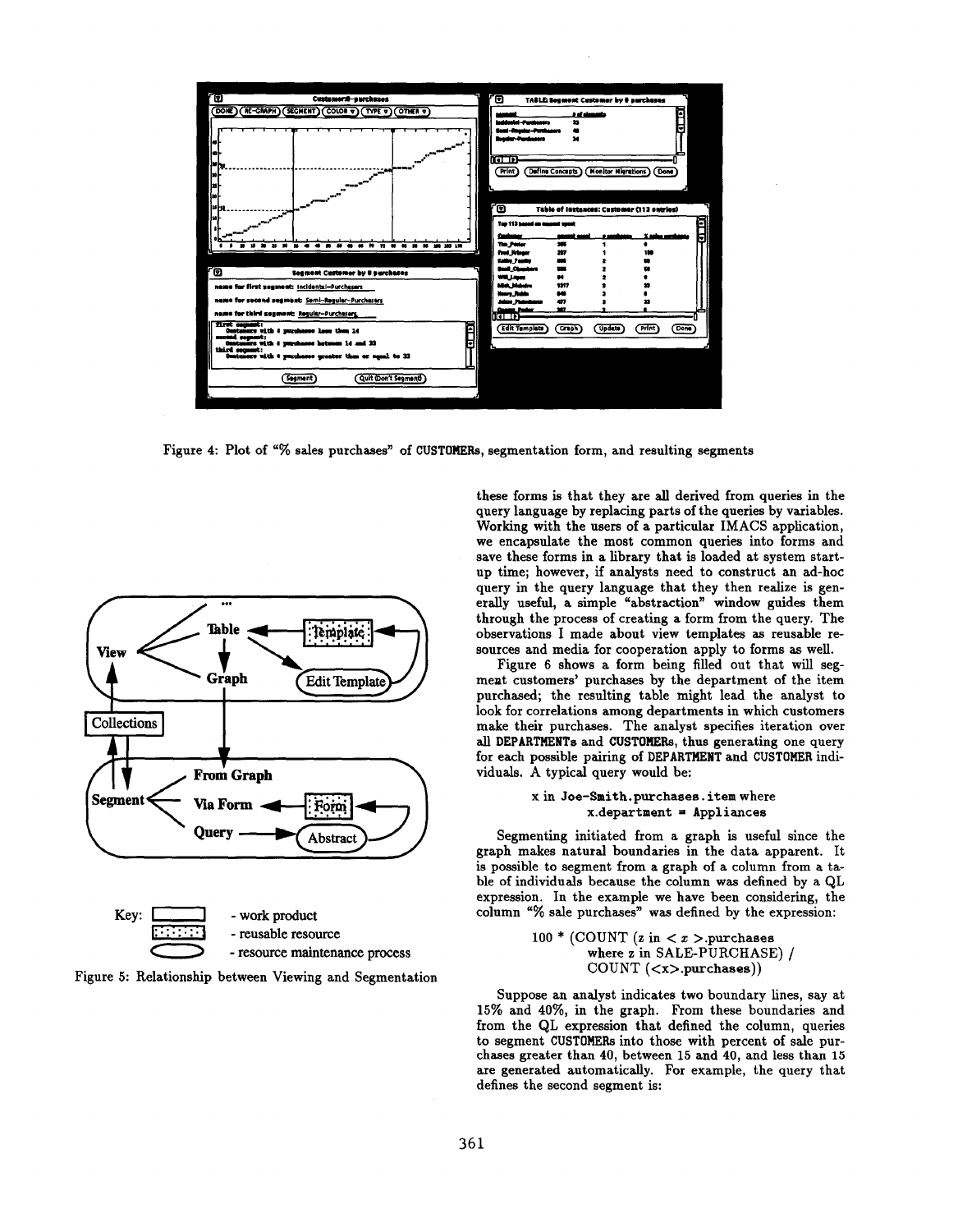

Figure 4: Plot of "% sales purchases" of CUSTOMERs, segmentation form, and resulting segments





Figure 5: Relationship between Viewing and Segmentati

these forms is that they are all derived from queries in the query language by replacing parts of the queries by variables. Working with the users of a particular IMACS application, we encapsulate the most common queries into forms and save these forms in a library that is loaded at system startup time; however, if analysts need to construct an ad-hoc query in the query language that they then realize is generally useful, a simple "abstraction" window guides them through the process of creating a form from the query. The observations I made about view templates as reusable resources and media for cooperation apply to forms as well.

Figure 6 shows a form being filled out that will segment customers' purchases by the department of the item purchased; the resulting table might lead the analyst to look for correlations among departments in which customers make their purchases. The analyst specifies iteration over all DEPARTMENTs and CUSTOMERS, thus generating one query for each possible pairing of DEPARTMENT and CUSTOMER individuals. A typical query would be:

# x in Joe-Smith. purchases. item where  $x.department = Appliances$

Segmenting initiated from a graph is useful since the graph makes natural boundaries in the data apparent. It is possible to segment from a graph of a column from a table of individuals because the column waa defined by a QL expression. In the example we have been considering, the column "% sale purchases" was defined by the expression:

> 100 \* (COUNT (z in  $\langle x \rangle$ ).purchases where z in SALE-PURCHASE) / COUNT (<x>.purchases))

Suppose an analyst indicates two boundary lines, say at 15% and 40%, in the graph. From these boundaries and from the QL expression that defined the column, queries to segment CUSTOMERSinto those with percent of sale purchases greater than 40, bet ween 15 and 40, and less than 15 are generated automatically. For example, the query that defines the second segment is: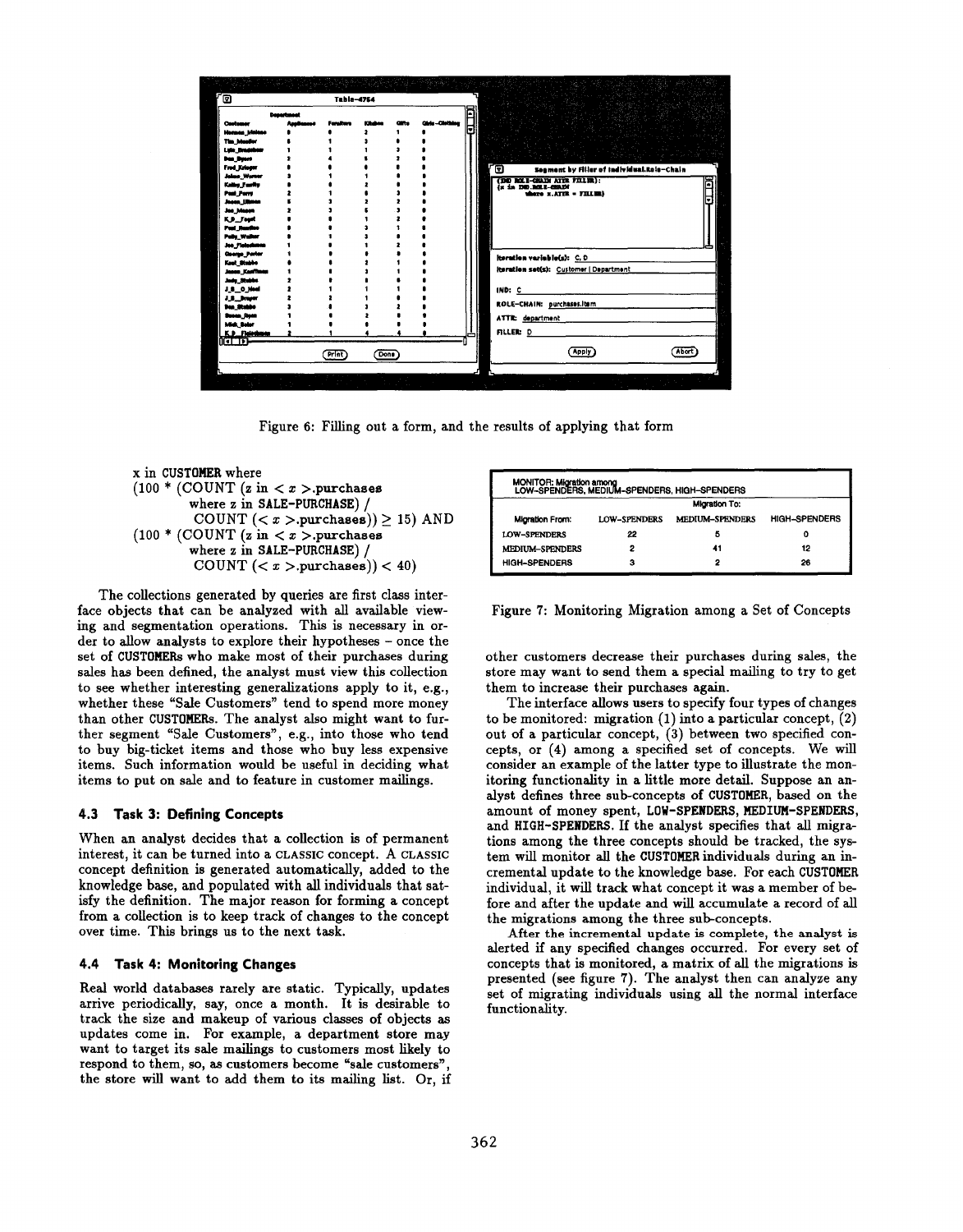| ๒                                       |            | <b>Table-4764</b> |                          |              |                                                 |
|-----------------------------------------|------------|-------------------|--------------------------|--------------|-------------------------------------------------|
|                                         | Department |                   |                          |              |                                                 |
| <b>Costomer</b>                         |            | Familian          |                          | $-$ Clothing |                                                 |
| Hormes Jifelene                         |            |                   |                          |              |                                                 |
| Tim Musler                              |            |                   |                          |              |                                                 |
| Life_Bradehear                          |            |                   |                          |              |                                                 |
| <b>Den Byent</b>                        |            |                   |                          |              |                                                 |
| Fred Keloper                            |            |                   |                          |              | Θ<br>Segment by Filler of Individual.Role-Chain |
| Johns Womer                             |            |                   |                          |              | $(100001-00010t)$ and $(11100t)$ .<br>몱         |
| Kalèy_Faarity                           |            |                   |                          |              | is in DO.ROLL-COATH                             |
| Post Porry                              |            |                   |                          |              | where x.ATIR = FILLER}                          |
| Joonn Littmen                           |            |                   |                          |              |                                                 |
| <b>Jos Jillson</b>                      |            |                   |                          |              |                                                 |
| <b>K.D., Tourt</b>                      |            |                   |                          |              |                                                 |
| <b>Post Readers</b>                     |            |                   |                          |              |                                                 |
| Polly Walker                            |            |                   |                          |              |                                                 |
| Jee_Fletechmen                          |            |                   |                          |              |                                                 |
| <b>Coorge Parter</b>                    |            |                   |                          |              | iteration variable(s): C.D                      |
| Kool_Stobbs                             |            |                   |                          |              | iteration set(s): Customer   Department         |
| Jacob Kastrone                          |            |                   |                          |              |                                                 |
| Jody_Stable                             |            |                   |                          |              |                                                 |
| <b>J.S. O.Neel</b>                      |            |                   |                          |              | IND: C                                          |
| <b>J.S. Draper</b><br><b>Den Stabbe</b> |            |                   |                          |              | ROLE-CHAIN: purchases.item                      |
| <b>Succe</b> , Figure                   |            |                   |                          |              |                                                 |
| Mick Solor                              |            |                   |                          |              | ATTIC department                                |
| K.D. Fleischnen                         |            |                   |                          |              | <b>FILLER: D</b>                                |
| ne <del>r to</del>                      |            |                   |                          |              |                                                 |
|                                         |            |                   |                          |              | Abort                                           |
|                                         |            | PrInt)            | $\overline{\text{Dono}}$ |              | (Apply)                                         |

Figure 6: Filling out a form, and the results of applying that form

```
x in CUSTOMERwhere
(100 * (COUNT (z in \langle x \rangle).purchases
          where z in SALE-PURCHASE) /
           \mathrm{COUNT}\ (<x> ).purchases)) \geq 15)~\mathrm{ANI}(100 * (COUNT (z in \langle x \rangle). purchases
          where z in SALE-PURCHASE)
           \mathrm{COUNT}\ (<x> ).purchases)) < 40)
```
The collections generated by queries are first class interface objects that can be analyzed with all available viewing and segmentation operations. This is necessary in order to allow analysts to explore their hypotheses – once the set of CUSTOMERs who make most of their purchases during sales has been defined, the analyst must view this collection to see whether interesting generalizations apply to it, e.g., whether these "Sale Customers" tend to spend more money than other CUSTOMERS. The analyst also might want to further segment "Sale Customers", e.g., into those who tend to buy big-ticket items and those who buy less expensive items. Such information would be useful in deciding what items to put on sale and to feature in customer mailings.

# 4.3 Task 3: Defining Concepts

When an analyst decides that a collection is of permanent interest, it can be turned into a CLASSIC concept. A CLASSIC concept definition is generated automatically, added to the knowledge base, and populated with all individuals that satisfy the definition. The major reason for forming a concept from a collection is to keep track of changes to the concept over time. This brings us to the next task.

# 4.4 Task 4: Monitoring Changes

Real world databases rarely are static. Typically, updates arrive periodically, say, once a month. It is desirable to track the size and makeup of various classes of objects as updates come in. For example, a department store may want to target its sale mailings to customers most likely to respond to them, so, as customers become "sale customers", the store will want to add them to its mailing list. Or, if

| MONITOR: Migration among<br>LOW-SPENDERS, MEDIUM-SPENDERS, HIGH-SPENDERS |                      |                        |                      |  |  |  |  |
|--------------------------------------------------------------------------|----------------------|------------------------|----------------------|--|--|--|--|
|                                                                          | <b>Micration To:</b> |                        |                      |  |  |  |  |
| <b>Migration From:</b>                                                   | <b>LOW-SPENDERS</b>  | <b>MEDIUM-SPENDERS</b> | <b>HIGH-SPENDERS</b> |  |  |  |  |
| <b>LOW-SPENDERS</b>                                                      | 22                   | 5                      |                      |  |  |  |  |
| <b>MEDIUM-SPENDERS</b>                                                   |                      | 41                     | 12                   |  |  |  |  |
| <b>HIGH-SPENDERS</b>                                                     |                      | 2                      | 26                   |  |  |  |  |

Figure 7: Monitoring Migration among a Set of Concepts

other customers decrease their purchases during sales, the store may want to send them a special mailing to try to get them to increase their purchases again.

The interface allows users to specify four types of changes to be monitored: migration (1) into a particular concept, (2) out of a particular concept, (3) between two specified concepts, or (4) among a specified set of concepts. We will consider an example of the latter type to illustrate the monitoring functionality in a little more detail. Suppose an analyst defines three sub-concepts of CUSTOMER, based on the amount of money spent, LOW-SPENDERS, MEDIUM-SPENDERS, and HIGH-SPENDERS. If the analyst specifies that all migrations among the three concepts should be tracked, the system will monitor all the CUSTOMERindividuals during an incremental update to the knowledge base. For each CUSTOMER individual, it will track what concept it was a member of before and after the update and will accumulate a record of all the migrations among the three sub-concepts.

After the incremental update is complete, the analyst is alerted if any specified changes occurred. For every set of concepts that is monitored, a matrix of all the migrations is presented (see figure 7). The analyst then can analyze any set of migrating individuals using all the normal interface functionality.